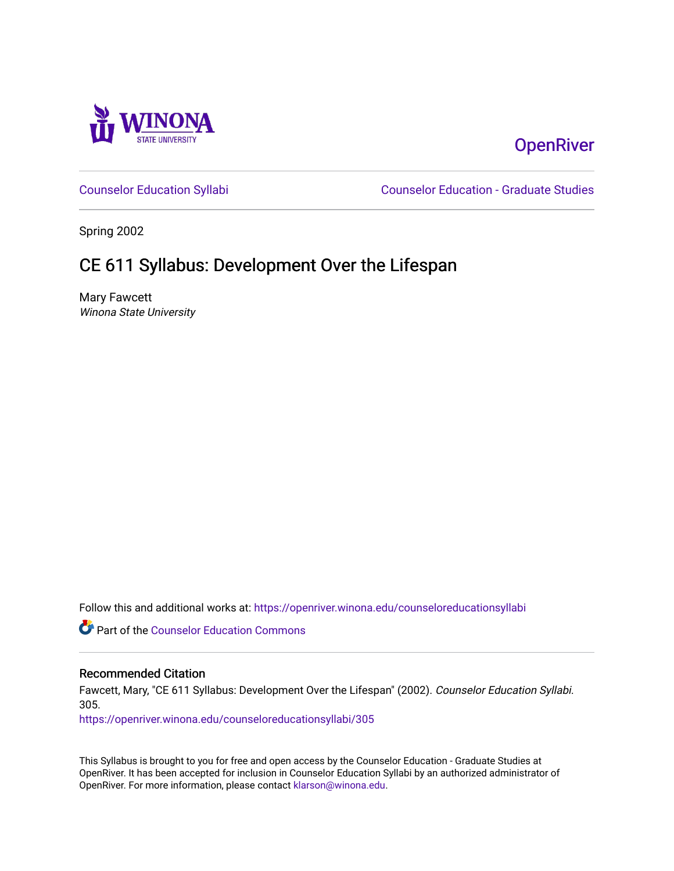

# **OpenRiver**

[Counselor Education Syllabi](https://openriver.winona.edu/counseloreducationsyllabi) [Counselor Education - Graduate Studies](https://openriver.winona.edu/counseloreducation) 

Spring 2002

# CE 611 Syllabus: Development Over the Lifespan

Mary Fawcett Winona State University

Follow this and additional works at: [https://openriver.winona.edu/counseloreducationsyllabi](https://openriver.winona.edu/counseloreducationsyllabi?utm_source=openriver.winona.edu%2Fcounseloreducationsyllabi%2F305&utm_medium=PDF&utm_campaign=PDFCoverPages)

Part of the [Counselor Education Commons](http://network.bepress.com/hgg/discipline/1278?utm_source=openriver.winona.edu%2Fcounseloreducationsyllabi%2F305&utm_medium=PDF&utm_campaign=PDFCoverPages) 

# Recommended Citation

Fawcett, Mary, "CE 611 Syllabus: Development Over the Lifespan" (2002). Counselor Education Syllabi. 305.

[https://openriver.winona.edu/counseloreducationsyllabi/305](https://openriver.winona.edu/counseloreducationsyllabi/305?utm_source=openriver.winona.edu%2Fcounseloreducationsyllabi%2F305&utm_medium=PDF&utm_campaign=PDFCoverPages)

This Syllabus is brought to you for free and open access by the Counselor Education - Graduate Studies at OpenRiver. It has been accepted for inclusion in Counselor Education Syllabi by an authorized administrator of OpenRiver. For more information, please contact [klarson@winona.edu](mailto:klarson@winona.edu).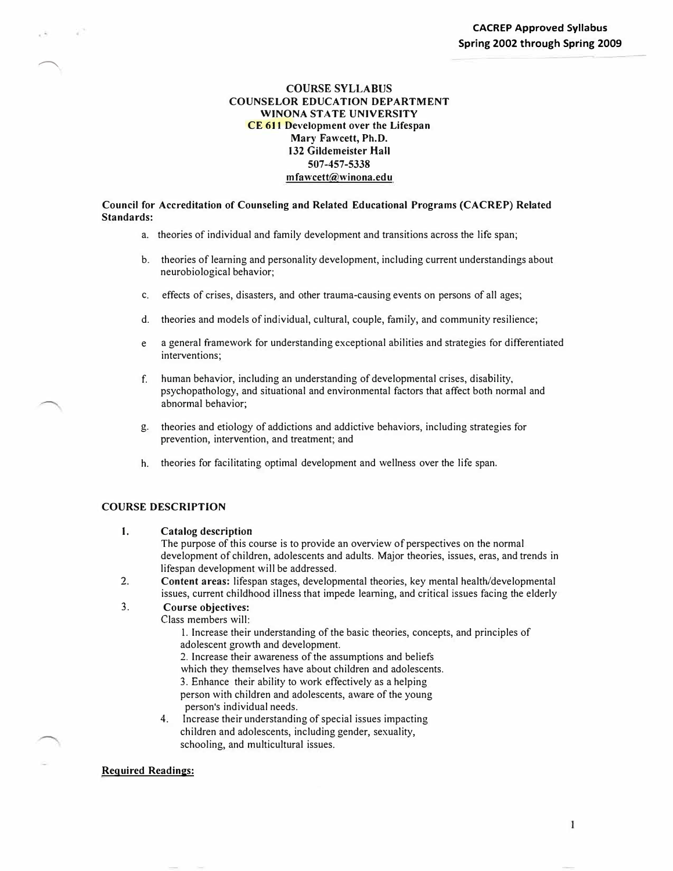# **COURSE SYLLABUS COUNSELOR EDUCATION DEPARTMENT WINONA STATE UNIVERSITY CE 611 Development over the Lifespan Mary Fawcett, Ph.D. 132 Gildemeister Hall 507-457-5338 mfawcett@winona.edu**

**Council for Accreditation of Counseling and Related Educational Programs (CACREP) Related Standards:** 

- a. theories of individual and family development and transitions across the life span;
- b. theories of learning and personality development, including current understandings about neurobiological behavior;
- c. effects of crises, disasters, and other trauma-causing events on persons of all ages;
- d. theories and models of individual, cultural, couple, family, and community resilience;
- e a general framework for understanding exceptional abilities and strategies for differentiated interventions;
- f. human behavior, including an understanding of developmental crises, disability, psychopathology, and situational and environmental factors that affect both normal and abnormal behavior;
- g. theories and etiology of addictions and addictive behaviors, including strategies for prevention, intervention, and treatment; and
- h. theories for facilitating optimal development and wellness over the life span.

# **COURSE DESCRIPTION**

 $\overline{\phantom{1}}$ 

**1. Catalog description**

The purpose of this course is to provide an overview of perspectives on the normal development of children, adolescents and adults. Major theories, issues, eras, and trends in lifespan development will be addressed.

2. **Content areas:** lifespan stages, developmental theories, key mental health/developmental issues, current childhood illness that impede learning, and critical issues facing the elderly

#### 3. **Course objectives:**

Class members will:

- 1. Increase their understanding of the basic theories, concepts, and principles of adolescent growth and development.
- 2. Increase their awareness of the assumptions and beliefs

which they themselves have about children and adolescents.

3. Enhance their ability to work effectively as a helping

person with children and adolescents, aware of the young person's individual needs.

4. Increase their understanding of special issues impacting children and adolescents, including gender, sexuality, schooling, and multicultural issues.

#### **Required Readings:**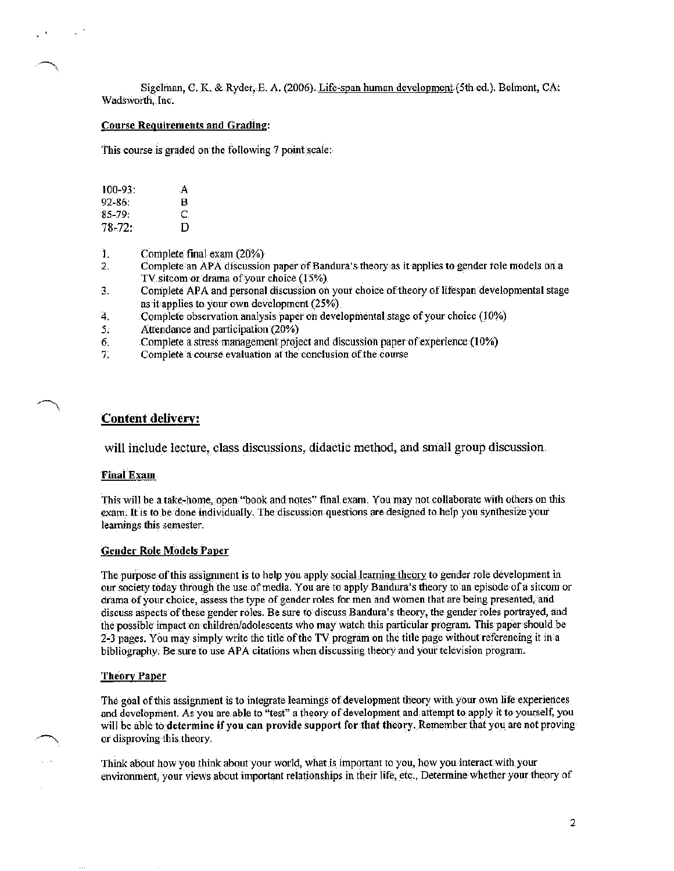Sigelman, C. K. & Ryder, E. A. (2006). Life-span human development (5th ed.). Belmont, CA: Wadsworth, Inc.

#### **Course Requirements and Grading:**

This course is graded on the following 7 point scale:

| $100 - 93$ : | A |
|--------------|---|
| $92 - 86$ :  | в |
| $85-79$ :    | C |
| 78-72:       | D |

- Complete final exam (20%) Ì.
- Complete an APA discussion paper of Bandura's theory as it applies to gender role models on a  $\overline{2}$ . TV sitcom or drama of your choice (15%)
- Complete APA and personal discussion on your choice of theory of lifespan developmental stage 3. as it applies to your own development (25%)
- 4. Complete observation analysis paper on developmental stage of your choice (10%)
- $5:$ Attendance and participation (20%)
- Complete a stress management project and discussion paper of experience (10%) 6.
- 7. Complete a course evaluation at the conclusion of the course

# **Content delivery:**

will include lecture, class discussions, didactic method, and small group discussion.

# **Final Exam**

This will be a take-home, open "book and notes" final exam. You may not collaborate with others on this exam. It is to be done individually. The discussion questions are designed to help you synthesize your learnings this semester.

# **Gender Role Models Paper**

The purpose of this assignment is to help you apply social learning theory to gender role development in our society today through the use of media. You are to apply Bandura's theory to an episode of a sitcom or drama of your choice, assess the type of gender roles for men and women that are being presented, and discuss aspects of these gender roles. Be sure to discuss Bandura's theory, the gender roles portrayed, and the possible impact on children/adolescents who may watch this particular program. This paper should be 2-3 pages. You may simply write the title of the TV program on the title page without referencing it in a bibliography. Be sure to use APA citations when discussing theory and your television program.

### **Theory Paper**

The goal of this assignment is to integrate learnings of development theory with your own life experiences and development. As you are able to "test" a theory of development and attempt to apply it to yourself, you will be able to determine if you can provide support for that theory. Remember that you are not proving or disproving this theory.

Think about how you think about your world, what is important to you, how you interact with your environment, your views about important relationships in their life, etc., Determine whether your theory of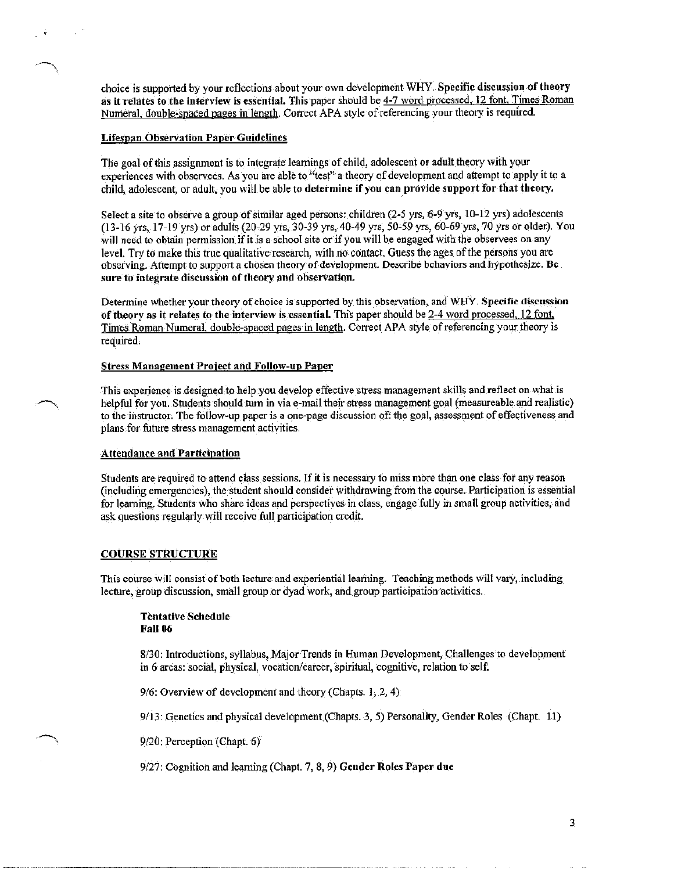choice is supported by your reflections about your own development WHY. Specific discussion of theory as it relates to the interview is essential. This paper should be 4-7 word processed, 12 font. Times Roman Numeral, double-spaced pages in length, Correct APA style of referencing your theory is required.

## **Lifespan Observation Paper Guidelines**

The goal of this assignment is to integrate learnings of child, adolescent or adult theory with your experiences with observees. As you are able to "test" a theory of development and attempt to apply it to a child, adolescent, or adult, you will be able to determine if you can provide support for that theory.

Select a site to observe a group of similar aged persons: children (2-5 yrs, 6-9 yrs, 10-12 yrs) adolescents (13-16 yrs, 17-19 yrs) or adults (20-29 yrs, 30-39 yrs, 40-49 yrs, 50-59 yrs, 60-69 yrs, 70 yrs or older). You will need to obtain permission if it is a school site or if you will be engaged with the observees on any level. Try to make this true qualitative research, with no contact. Guess the ages of the persons you are observing. Attempt to support a chosen theory of development. Describe behaviors and hypothesize. Be sure to integrate discussion of theory and observation.

Determine whether your theory of choice is supported by this observation, and WHY. Specific discussion of theory as it relates to the interview is essential. This paper should be 2-4 word processed, 12 font, Times Roman Numeral, double-spaced pages in length. Correct APA style of referencing your theory is required.

#### **Stress Management Project and Follow-up Paper**

This experience is designed to help you develop effective stress management skills and reflect on what is helpful for you. Students should turn in via e-mail their stress management goal (measureable and realistic) to the instructor. The follow-up paper is a one-page discussion of: the goal, assessment of effectiveness and plans for future stress management activities.

## **Attendance and Participation**

Students are required to attend class sessions. If it is necessary to miss more than one class for any reason (including emergencies), the student should consider withdrawing from the course. Participation is essential for learning. Students who share ideas and perspectives in class, engage fully in small group activities, and ask questions regularly will receive full participation credit.

## **COURSE STRUCTURE**

This course will consist of both lecture and experiential learning. Teaching methods will vary, including lecture, group discussion, small group or dyad work, and group participation activities.

## **Tentative Schedule Fall 06**

8/30: Introductions, syllabus, Major Trends in Human Development, Challenges to development in 6 areas: social, physical, vocation/career, spiritual, cognitive, relation to self.

9/6: Overview of development and theory (Chapts. 1, 2, 4)

9/13: Genetics and physical development (Chapts. 3, 5) Personality, Gender Roles (Chapt. 11)

9/20; Perception (Chapt. 6)

 $9/27$ : Cognition and learning (Chapt. 7, 8, 9) Gender Roles Paper due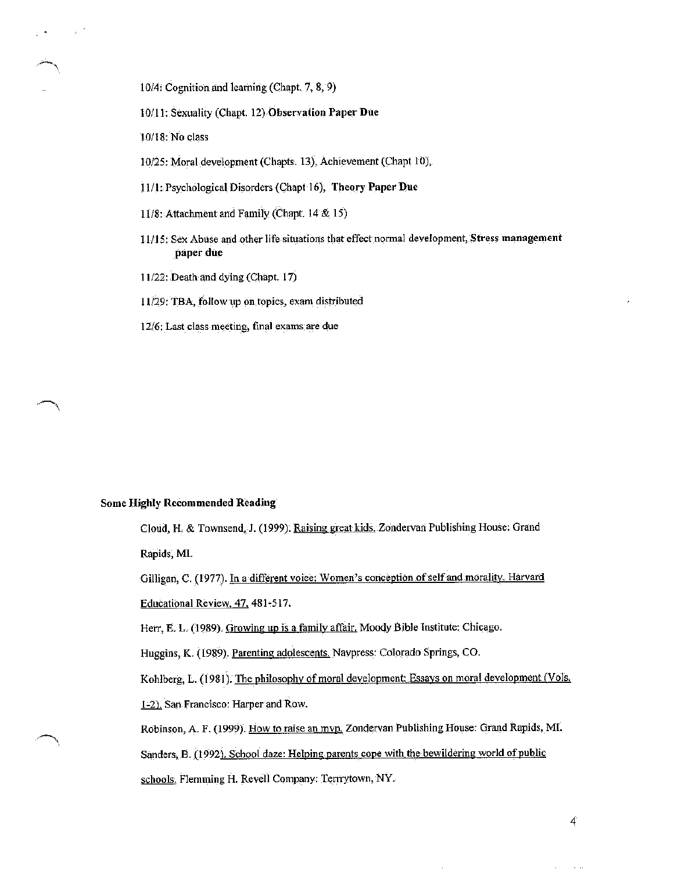10/4: Cognition and learning (Chapt. 7, 8, 9)

- 10/11: Sexuality (Chapt. 12) Observation Paper Due
- 10/18: No class
- 10/25: Moral development (Chapts. 13), Achievement (Chapt 10),
- 11/1: Psychological Disorders (Chapt 16), Theory Paper Due
- 11/8: Attachment and Family (Chapt. 14 & 15)
- 11/15: Sex Abuse and other life situations that effect normal development, Stress management paper due
- 11/22: Death and dying (Chapt. 17)
- 11/29: TBA, follow up on topics, exam distributed
- 12/6: Last class meeting, final exams are due

## **Some Highly Recommended Reading**

Cloud, H. & Townsend, J. (1999). Raising great kids. Zondervan Publishing House: Grand Rapids, MI.

Gilligan, C. (1977). In a different voice: Women's conception of self and morality. Harvard Educational Review, 47, 481-517.

Herr, E. L. (1989). Growing up is a family affair. Moody Bible Institute: Chicago.

Huggins, K. (1989). Parenting adolescents. Navpress: Colorado Springs, CO.

Kohlberg, L. (1981). The philosophy of moral development: Essays on moral development (Vols.

1-2). San Francisco: Harper and Row.

Robinson, A. F. (1999). How to raise an mvp. Zondervan Publishing House: Grand Rapids, MI.

Sanders, B. (1992). School daze: Helping parents cope with the bewildering world of public

schools. Flemming H. Revell Company: Terrrytown, NY.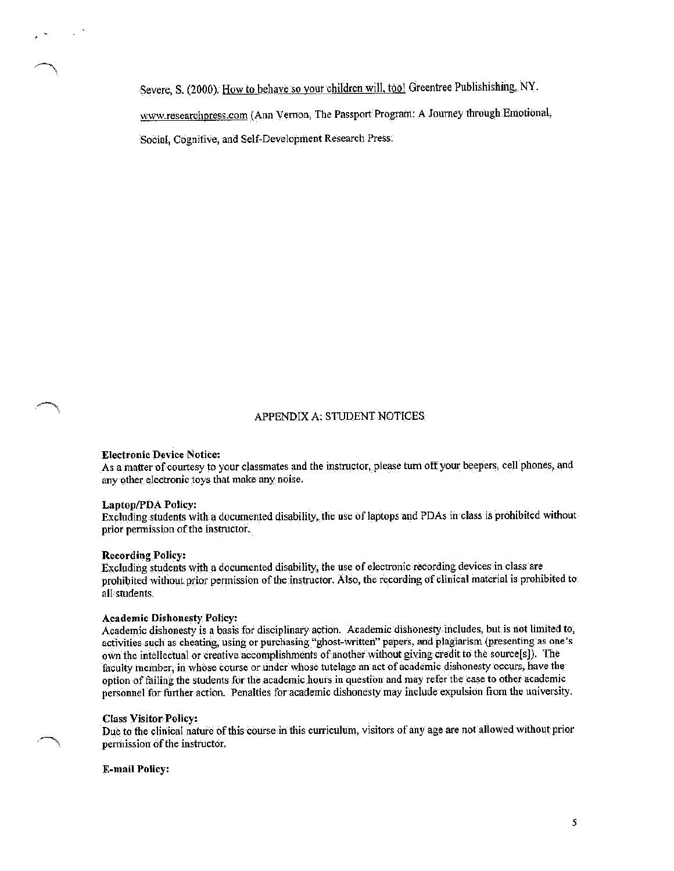Severe, S. (2000). How to behave so your children will, too! Greentree Publishishing, NY. www.researchpress.com (Ann Vernon, The Passport Program: A Journey through Emotional, Social, Cognitive, and Self-Development Research Press.

# APPENDIX A: STUDENT NOTICES

## **Electronic Device Notice:**

As a matter of courtesy to your classmates and the instructor, please turn off your beepers, cell phones, and any other electronic toys that make any noise.

## **Laptop/PDA Policy:**

Excluding students with a documented disability, the use of laptops and PDAs in class is prohibited without prior permission of the instructor.

#### **Recording Policy:**

Excluding students with a documented disability, the use of electronic recording devices in class are prohibited without prior permission of the instructor. Also, the recording of clinical material is prohibited to all students.

## **Academic Dishonesty Policy:**

Academic dishonesty is a basis for disciplinary action. Academic dishonesty includes, but is not limited to, activities such as cheating, using or purchasing "ghost-written" papers, and plagiarism (presenting as one's own the intellectual or creative accomplishments of another without giving credit to the source[s]). The faculty member, in whose course or under whose tutelage an act of academic dishonesty occurs, have the option of failing the students for the academic hours in question and may refer the case to other academic personnel for further action. Penalties for academic dishonesty may include expulsion from the university.

# **Class Visitor Policy:**

Due to the clinical nature of this course in this curriculum, visitors of any age are not allowed without prior permission of the instructor.

#### **E-mail Policy:**